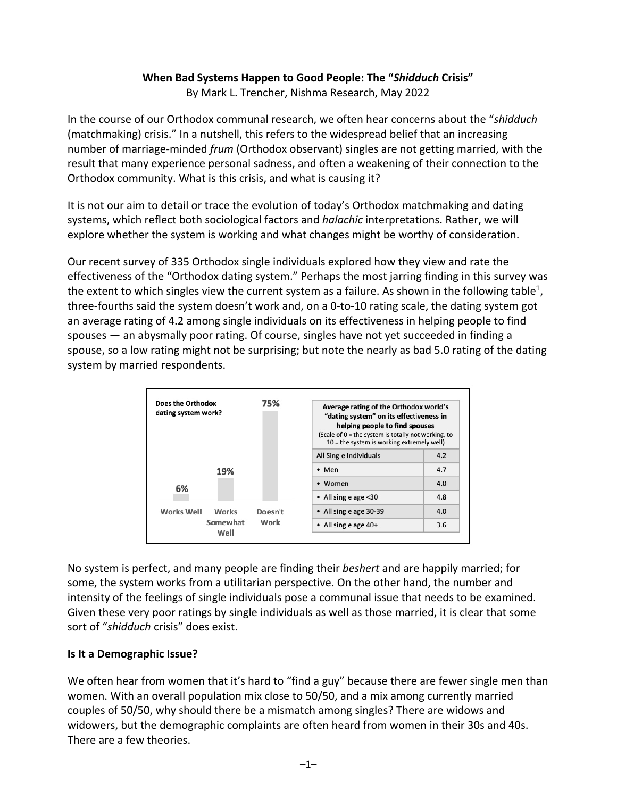### **When Bad Systems Happen to Good People: The "***Shidduch* **Crisis"**

By Mark L. Trencher, Nishma Research, May 2022

In the course of our Orthodox communal research, we often hear concerns about the "*shidduch*  (matchmaking) crisis." In a nutshell, this refers to the widespread belief that an increasing number of marriage-minded *frum* (Orthodox observant) singles are not getting married, with the result that many experience personal sadness, and often a weakening of their connection to the Orthodox community. What is this crisis, and what is causing it?

It is not our aim to detail or trace the evolution of today's Orthodox matchmaking and dating systems, which reflect both sociological factors and *halachic* interpretations. Rather, we will explore whether the system is working and what changes might be worthy of consideration.

Our recent survey of 335 Orthodox single individuals explored how they view and rate the effectiveness of the "Orthodox dating system." Perhaps the most jarring finding in this survey was the extent to which singles view the current system as a failure. As shown in the following table<sup>1</sup>, three-fourths said the system doesn't work and, on a 0-to-10 rating scale, the dating system got an average rating of 4.2 among single individuals on its effectiveness in helping people to find spouses — an abysmally poor rating. Of course, singles have not yet succeeded in finding a spouse, so a low rating might not be surprising; but note the nearly as bad 5.0 rating of the dating system by married respondents.

| Does the Orthodox<br>dating system work? |                           | 75%     | Average rating of the Orthodox world's<br>"dating system" on its effectiveness in<br>helping people to find spouses<br>(Scale of $0 =$ the system is totally not working, to<br>$10 =$ the system is working extremely well) |     |
|------------------------------------------|---------------------------|---------|------------------------------------------------------------------------------------------------------------------------------------------------------------------------------------------------------------------------------|-----|
|                                          |                           |         | All Single Individuals                                                                                                                                                                                                       | 4.2 |
|                                          | 19%                       |         | $•$ Men                                                                                                                                                                                                                      | 4.7 |
| 6%                                       |                           |         | • Women                                                                                                                                                                                                                      | 4.0 |
|                                          |                           |         | • All single age <30                                                                                                                                                                                                         | 4.8 |
| Works Well                               | Works<br>Somewhat<br>Well | Doesn't | • All single age 30-39                                                                                                                                                                                                       | 4.0 |
|                                          |                           | Work    | • All single age 40+                                                                                                                                                                                                         | 3.6 |

No system is perfect, and many people are finding their *beshert* and are happily married; for some, the system works from a utilitarian perspective. On the other hand, the number and intensity of the feelings of single individuals pose a communal issue that needs to be examined. Given these very poor ratings by single individuals as well as those married, it is clear that some sort of "*shidduch* crisis" does exist.

#### **Is It a Demographic Issue?**

We often hear from women that it's hard to "find a guy" because there are fewer single men than women. With an overall population mix close to 50/50, and a mix among currently married couples of 50/50, why should there be a mismatch among singles? There are widows and widowers, but the demographic complaints are often heard from women in their 30s and 40s. There are a few theories.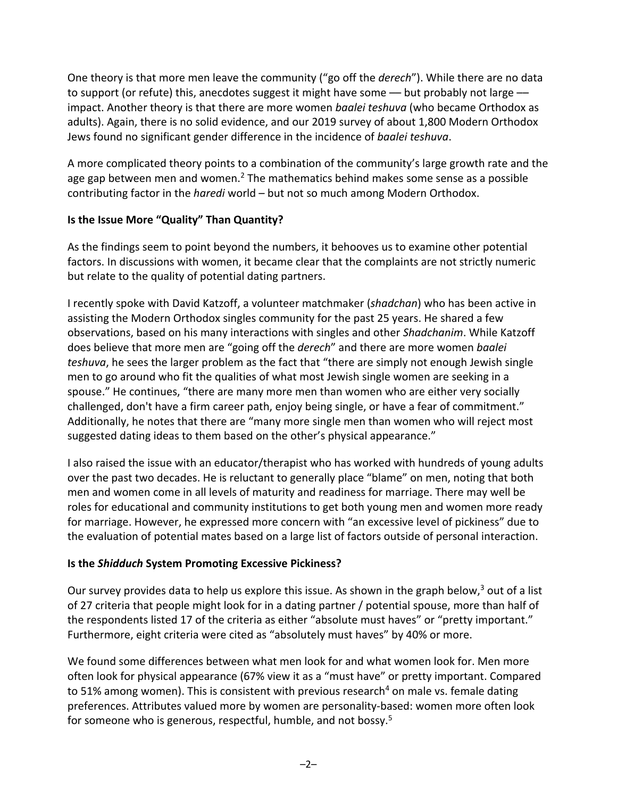One theory is that more men leave the community ("go off the *derech*"). While there are no data to support (or refute) this, anecdotes suggest it might have some — but probably not large impact. Another theory is that there are more women *baalei teshuva* (who became Orthodox as adults). Again, there is no solid evidence, and our 2019 survey of about 1,800 Modern Orthodox Jews found no significant gender difference in the incidence of *baalei teshuva*.

A more complicated theory points to a combination of the community's large growth rate and the age gap between men and women.<sup>2</sup> The mathematics behind makes some sense as a possible contributing factor in the *haredi* world – but not so much among Modern Orthodox.

### **Is the Issue More "Quality" Than Quantity?**

As the findings seem to point beyond the numbers, it behooves us to examine other potential factors. In discussions with women, it became clear that the complaints are not strictly numeric but relate to the quality of potential dating partners.

I recently spoke with David Katzoff, a volunteer matchmaker (*shadchan*) who has been active in assisting the Modern Orthodox singles community for the past 25 years. He shared a few observations, based on his many interactions with singles and other *Shadchanim*. While Katzoff does believe that more men are "going off the *derech*" and there are more women *baalei teshuva*, he sees the larger problem as the fact that "there are simply not enough Jewish single men to go around who fit the qualities of what most Jewish single women are seeking in a spouse." He continues, "there are many more men than women who are either very socially challenged, don't have a firm career path, enjoy being single, or have a fear of commitment." Additionally, he notes that there are "many more single men than women who will reject most suggested dating ideas to them based on the other's physical appearance."

I also raised the issue with an educator/therapist who has worked with hundreds of young adults over the past two decades. He is reluctant to generally place "blame" on men, noting that both men and women come in all levels of maturity and readiness for marriage. There may well be roles for educational and community institutions to get both young men and women more ready for marriage. However, he expressed more concern with "an excessive level of pickiness" due to the evaluation of potential mates based on a large list of factors outside of personal interaction.

# **Is the** *Shidduch* **System Promoting Excessive Pickiness?**

Our survey provides data to help us explore this issue. As shown in the graph below,<sup>3</sup> out of a list of 27 criteria that people might look for in a dating partner / potential spouse, more than half of the respondents listed 17 of the criteria as either "absolute must haves" or "pretty important." Furthermore, eight criteria were cited as "absolutely must haves" by 40% or more.

We found some differences between what men look for and what women look for. Men more often look for physical appearance (67% view it as a "must have" or pretty important. Compared to 51% among women). This is consistent with previous research<sup>4</sup> on male vs. female dating preferences. Attributes valued more by women are personality-based: women more often look for someone who is generous, respectful, humble, and not bossy.<sup>5</sup>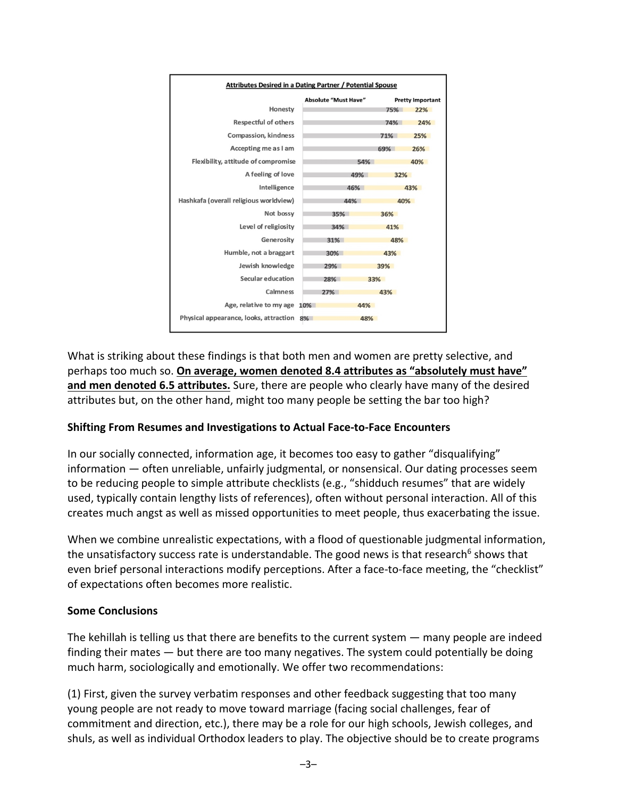

What is striking about these findings is that both men and women are pretty selective, and perhaps too much so. **On average, women denoted 8.4 attributes as "absolutely must have" and men denoted 6.5 attributes.** Sure, there are people who clearly have many of the desired attributes but, on the other hand, might too many people be setting the bar too high?

# **Shifting From Resumes and Investigations to Actual Face-to-Face Encounters**

In our socially connected, information age, it becomes too easy to gather "disqualifying" information — often unreliable, unfairly judgmental, or nonsensical. Our dating processes seem to be reducing people to simple attribute checklists (e.g., "shidduch resumes" that are widely used, typically contain lengthy lists of references), often without personal interaction. All of this creates much angst as well as missed opportunities to meet people, thus exacerbating the issue.

When we combine unrealistic expectations, with a flood of questionable judgmental information, the unsatisfactory success rate is understandable. The good news is that research<sup>6</sup> shows that even brief personal interactions modify perceptions. After a face-to-face meeting, the "checklist" of expectations often becomes more realistic.

#### **Some Conclusions**

The kehillah is telling us that there are benefits to the current system — many people are indeed finding their mates — but there are too many negatives. The system could potentially be doing much harm, sociologically and emotionally. We offer two recommendations:

(1) First, given the survey verbatim responses and other feedback suggesting that too many young people are not ready to move toward marriage (facing social challenges, fear of commitment and direction, etc.), there may be a role for our high schools, Jewish colleges, and shuls, as well as individual Orthodox leaders to play. The objective should be to create programs